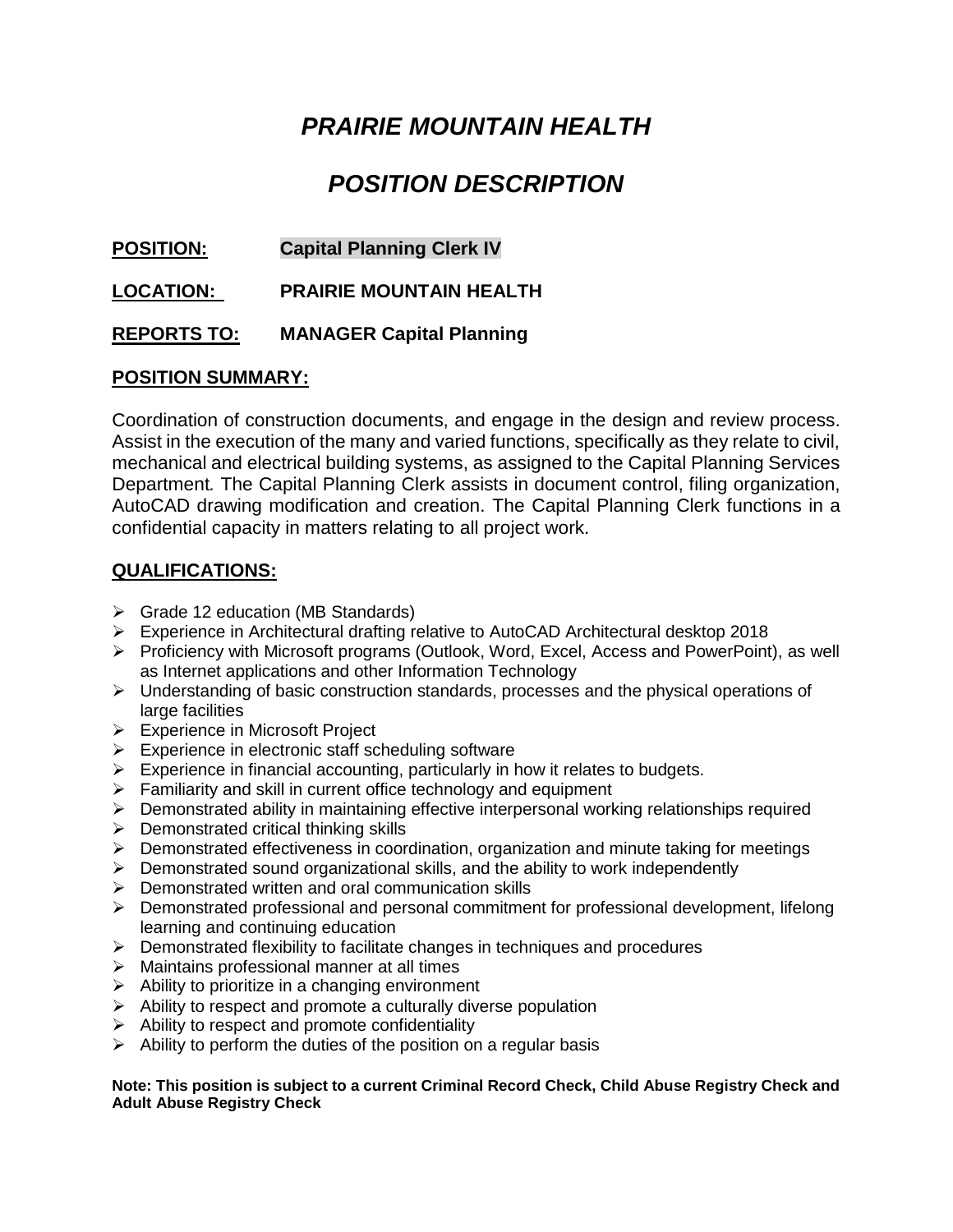# *PRAIRIE MOUNTAIN HEALTH*

## *POSITION DESCRIPTION*

## **POSITION: Capital Planning Clerk IV**

**LOCATION: PRAIRIE MOUNTAIN HEALTH**

## **REPORTS TO: MANAGER Capital Planning**

## **POSITION SUMMARY:**

Coordination of construction documents, and engage in the design and review process. Assist in the execution of the many and varied functions, specifically as they relate to civil, mechanical and electrical building systems, as assigned to the Capital Planning Services Department*.* The Capital Planning Clerk assists in document control, filing organization, AutoCAD drawing modification and creation. The Capital Planning Clerk functions in a confidential capacity in matters relating to all project work.

## **QUALIFICATIONS:**

- ➢ Grade 12 education (MB Standards)
- ➢ Experience in Architectural drafting relative to AutoCAD Architectural desktop 2018
- ➢ Proficiency with Microsoft programs (Outlook, Word, Excel, Access and PowerPoint), as well as Internet applications and other Information Technology
- ➢ Understanding of basic construction standards, processes and the physical operations of large facilities
- ➢ Experience in Microsoft Project
- $\triangleright$  Experience in electronic staff scheduling software
- $\triangleright$  Experience in financial accounting, particularly in how it relates to budgets.
- $\triangleright$  Familiarity and skill in current office technology and equipment
- ➢ Demonstrated ability in maintaining effective interpersonal working relationships required
- $\triangleright$  Demonstrated critical thinking skills
- ➢ Demonstrated effectiveness in coordination, organization and minute taking for meetings
- $\triangleright$  Demonstrated sound organizational skills, and the ability to work independently
- ➢ Demonstrated written and oral communication skills
- ➢ Demonstrated professional and personal commitment for professional development, lifelong learning and continuing education
- $\triangleright$  Demonstrated flexibility to facilitate changes in techniques and procedures
- ➢ Maintains professional manner at all times
- $\triangleright$  Ability to prioritize in a changing environment
- ➢ Ability to respect and promote a culturally diverse population
- $\triangleright$  Ability to respect and promote confidentiality
- $\triangleright$  Ability to perform the duties of the position on a regular basis

#### **Note: This position is subject to a current Criminal Record Check, Child Abuse Registry Check and Adult Abuse Registry Check**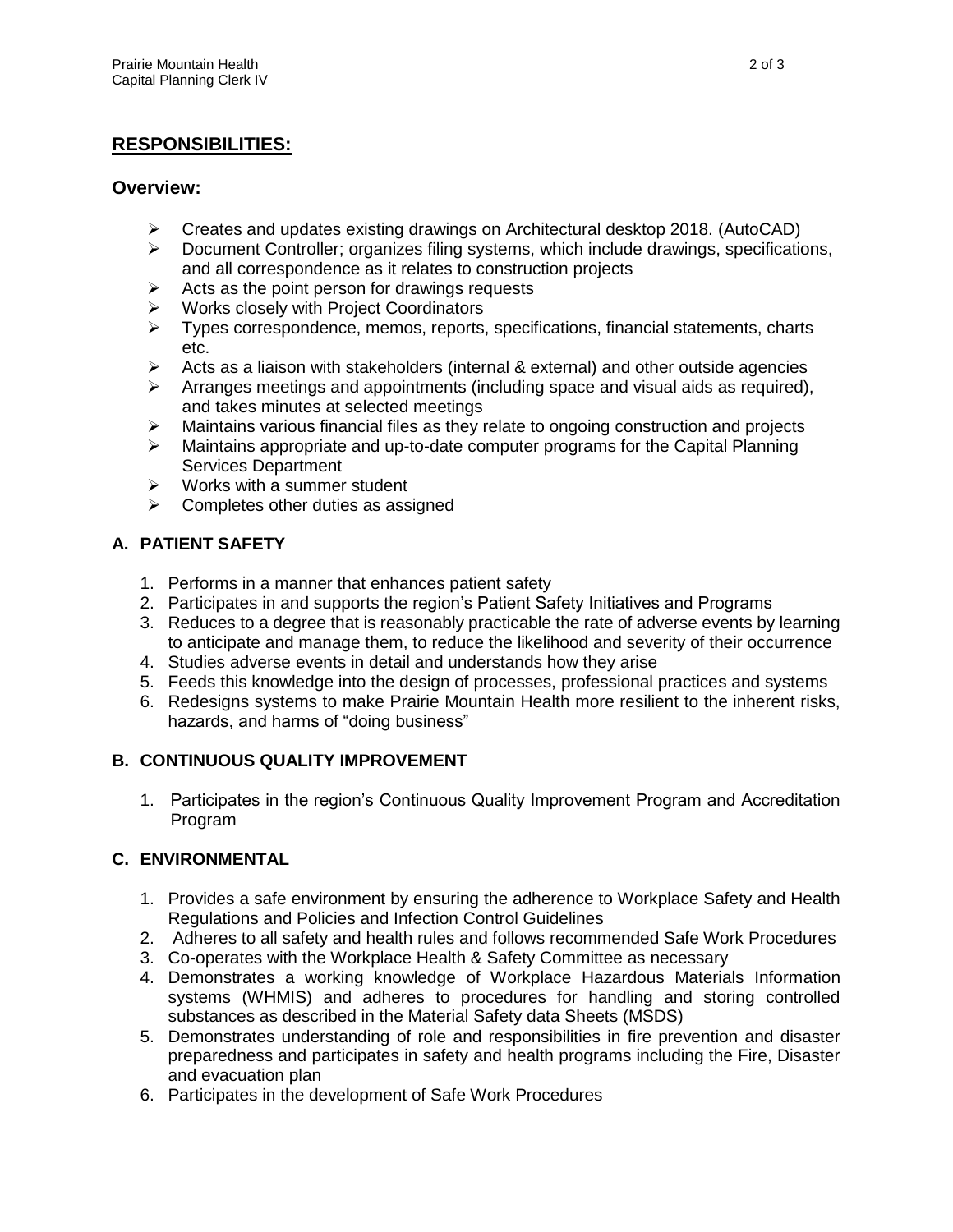## **RESPONSIBILITIES:**

#### **Overview:**

- ➢ Creates and updates existing drawings on Architectural desktop 2018. (AutoCAD)
- ➢ Document Controller; organizes filing systems, which include drawings, specifications, and all correspondence as it relates to construction projects
- $\triangleright$  Acts as the point person for drawings requests
- ➢ Works closely with Project Coordinators
- ➢ Types correspondence, memos, reports, specifications, financial statements, charts etc.
- $\triangleright$  Acts as a liaison with stakeholders (internal & external) and other outside agencies
- $\triangleright$  Arranges meetings and appointments (including space and visual aids as required), and takes minutes at selected meetings
- $\triangleright$  Maintains various financial files as they relate to ongoing construction and projects
- $\triangleright$  Maintains appropriate and up-to-date computer programs for the Capital Planning Services Department
- $\triangleright$  Works with a summer student
- $\triangleright$  Completes other duties as assigned

## **A. PATIENT SAFETY**

- 1. Performs in a manner that enhances patient safety
- 2. Participates in and supports the region's Patient Safety Initiatives and Programs
- 3. Reduces to a degree that is reasonably practicable the rate of adverse events by learning to anticipate and manage them, to reduce the likelihood and severity of their occurrence
- 4. Studies adverse events in detail and understands how they arise
- 5. Feeds this knowledge into the design of processes, professional practices and systems
- 6. Redesigns systems to make Prairie Mountain Health more resilient to the inherent risks, hazards, and harms of "doing business"

#### **B. CONTINUOUS QUALITY IMPROVEMENT**

1. Participates in the region's Continuous Quality Improvement Program and Accreditation Program

#### **C. ENVIRONMENTAL**

- 1. Provides a safe environment by ensuring the adherence to Workplace Safety and Health Regulations and Policies and Infection Control Guidelines
- 2. Adheres to all safety and health rules and follows recommended Safe Work Procedures
- 3. Co-operates with the Workplace Health & Safety Committee as necessary
- 4. Demonstrates a working knowledge of Workplace Hazardous Materials Information systems (WHMIS) and adheres to procedures for handling and storing controlled substances as described in the Material Safety data Sheets (MSDS)
- 5. Demonstrates understanding of role and responsibilities in fire prevention and disaster preparedness and participates in safety and health programs including the Fire, Disaster and evacuation plan
- 6. Participates in the development of Safe Work Procedures